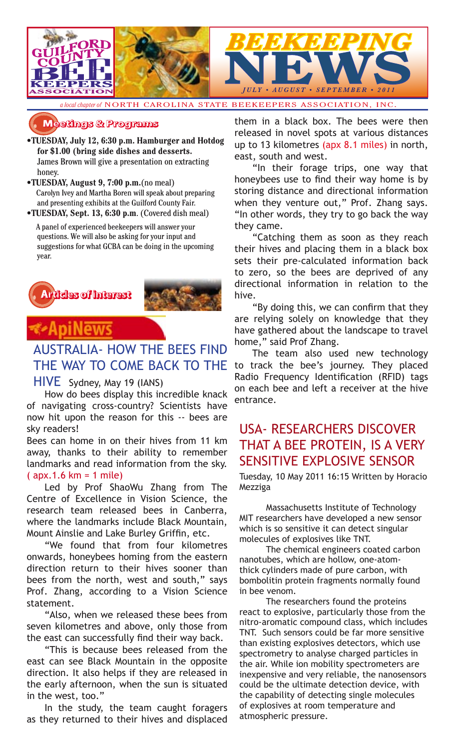

*a local chapter of* NORTH CAROLINA STATE BEEKEEPERS ASSOCIATION, INC.

### **�������� � ��������**

- **•TUESDAY, July 12, 6:30 p.m. Hamburger and Hotdog for \$1.00 (bring side dishes and desserts.** James Brown will give a presentation on extracting honey.
- **•TUESDAY, August 9, 7:00 p.m.**(no meal) Carolyn Ivey and Martha Boren will speak about preparing and presenting exhibits at the Guilford County Fair.
- **•TUESDAY, Sept. 13, 6:30 p.m**. (Covered dish meal)

 A panel of experienced beekeepers will answer your questions. We will also be asking for your input and suggestions for what GCBA can be doing in the upcoming year.





### AUSTRALIA- HOW THE BEES FIND THE WAY TO COME BACK TO THE

### HIVE Sydney, May 19 (IANS)

How do bees display this incredible knack of navigating cross-country? Scientists have now hit upon the reason for this -- bees are sky readers!

Bees can home in on their hives from 11 km away, thanks to their ability to remember landmarks and read information from the sky. ( apx.1.6 km = 1 mile)

Led by Prof ShaoWu Zhang from The Centre of Excellence in Vision Science, the research team released bees in Canberra, where the landmarks include Black Mountain, Mount Ainslie and Lake Burley Griffin, etc.

"We found that from four kilometres onwards, honeybees homing from the eastern direction return to their hives sooner than bees from the north, west and south," says Prof. Zhang, according to a Vision Science statement.

"Also, when we released these bees from seven kilometres and above, only those from the east can successfully find their way back.

"This is because bees released from the east can see Black Mountain in the opposite direction. It also helps if they are released in the early afternoon, when the sun is situated in the west, too."

In the study, the team caught foragers as they returned to their hives and displaced them in a black box. The bees were then released in novel spots at various distances up to 13 kilometres (apx 8.1 miles) in north, east, south and west.

"In their forage trips, one way that honeybees use to find their way home is by storing distance and directional information when they venture out," Prof. Zhang says. "In other words, they try to go back the way they came.

"Catching them as soon as they reach their hives and placing them in a black box sets their pre-calculated information back to zero, so the bees are deprived of any directional information in relation to the hive.

"By doing this, we can confirm that they are relying solely on knowledge that they have gathered about the landscape to travel home," said Prof Zhang.

The team also used new technology to track the bee's journey. They placed Radio Frequency Identification (RFID) tags on each bee and left a receiver at the hive entrance.

### USA- RESEARCHERS DISCOVER THAT A BEE PROTEIN, IS A VERY SENSITIVE EXPLOSIVE SENSOR

Tuesday, 10 May 2011 16:15 Written by Horacio Mezziga

Massachusetts Institute of Technology MIT researchers have developed a new sensor which is so sensitive it can detect singular molecules of explosives like TNT.

The chemical engineers coated carbon nanotubes, which are hollow, one-atomthick cylinders made of pure carbon, with bombolitin protein fragments normally found in bee venom.

The researchers found the proteins react to explosive, particularly those from the nitro-aromatic compound class, which includes TNT. Such sensors could be far more sensitive than existing explosives detectors, which use spectrometry to analyse charged particles in the air. While ion mobility spectrometers are inexpensive and very reliable, the nanosensors could be the ultimate detection device, with the capability of detecting single molecules of explosives at room temperature and atmospheric pressure.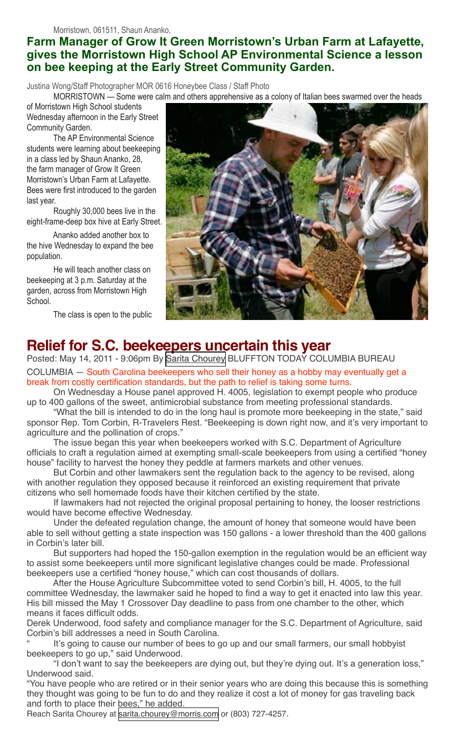### **Farm Manager of Grow It Green Morristown's Urban Farm at Lafayette, gives the Morristown High School AP Environmental Science a lesson on bee keeping at the Early Street Community Garden.**

Justina Wong/Staff Photographer MOR 0616 Honeybee Class / Staff Photo

MORRISTOWN — Some were calm and others apprehensive as a colony of Italian bees swarmed over the heads

of Morristown High School students Wednesday afternoon in the Early Street Community Garden.

The AP Environmental Science students were learning about beekeeping in a class led by Shaun Ananko, 28, the farm manager of Grow It Green Morristown's Urban Farm at Lafayette. Bees were first introduced to the garden last year.

Roughly 30,000 bees live in the eight-frame-deep box hive at Early Street.

Ananko added another box to the hive Wednesday to expand the bee population.

He will teach another class on beekeeping at 3 p.m. Saturday at the garden, across from Morristown High School.

The class is open to the public



### **Relief for S.C. beekeepers uncertain this year**

Posted: May 14, 2011 - 9:06pm By [Sarita Chourey](http://www.blufftontoday.com/authors/sarita-chourey) BLUFFTON TODAY COLUMBIA BUREAU COLUMBIA — South Carolina beekeepers who sell their honey as a hobby may eventually get a break from costly certification standards, but the path to relief is taking some turns.

On Wednesday a House panel approved H. 4005, legislation to exempt people who produce up to 400 gallons of the sweet, antimicrobial substance from meeting professional standards.

"What the bill is intended to do in the long haul is promote more beekeeping in the state," said sponsor Rep. Tom Corbin, R-Travelers Rest. "Beekeeping is down right now, and it's very important to agriculture and the pollination of crops."

The issue began this year when beekeepers worked with S.C. Department of Agriculture officials to craft a regulation aimed at exempting small-scale beekeepers from using a certified "honey house" facility to harvest the honey they peddle at farmers markets and other venues.

But Corbin and other lawmakers sent the regulation back to the agency to be revised, along with another regulation they opposed because it reinforced an existing requirement that private citizens who sell homemade foods have their kitchen certified by the state.

If lawmakers had not rejected the original proposal pertaining to honey, the looser restrictions would have become effective Wednesday.

Under the defeated regulation change, the amount of honey that someone would have been able to sell without getting a state inspection was 150 gallons - a lower threshold than the 400 gallons in Corbin's later bill.

But supporters had hoped the 150-gallon exemption in the regulation would be an efficient way to assist some beekeepers until more significant legislative changes could be made. Professional beekeepers use a certified "honey house," which can cost thousands of dollars.

After the House Agriculture Subcommittee voted to send Corbin's bill, H. 4005, to the full committee Wednesday, the lawmaker said he hoped to find a way to get it enacted into law this year. His bill missed the May 1 Crossover Day deadline to pass from one chamber to the other, which means it faces difficult odds.

Derek Underwood, food safety and compliance manager for the S.C. Department of Agriculture, said Corbin's bill addresses a need in South Carolina.

It's going to cause our number of bees to go up and our small farmers, our small hobbyist beekeepers to go up," said Underwood.

"I don't want to say the beekeepers are dying out, but they're dying out. It's a generation loss," Underwood said.

"You have people who are retired or in their senior years who are doing this because this is something they thought was going to be fun to do and they realize it cost a lot of money for gas traveling back and forth to place their bees," he added.

Reach Sarita Chourey at [sarita.chourey@morris.com](mailto:sarita.chourey@morris.com) or (803) 727-4257.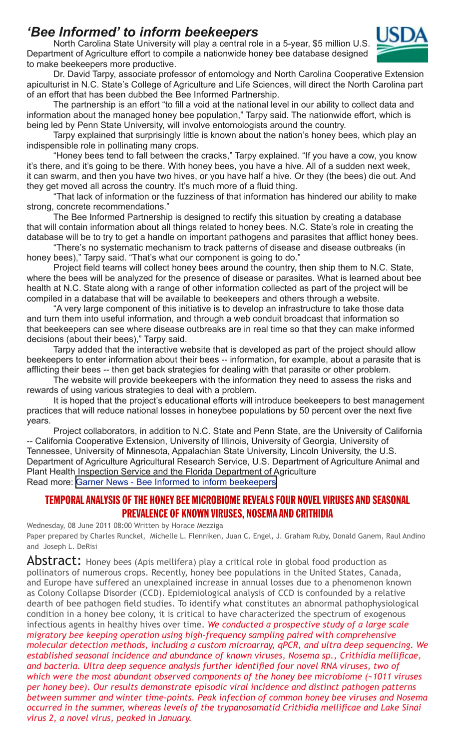### *'Bee Informed' to inform beekeepers*

North Carolina State University will play a central role in a 5-year, \$5 million U.S. Department of Agriculture effort to compile a nationwide honey bee database designed to make beekeepers more productive.



Dr. David Tarpy, associate professor of entomology and North Carolina Cooperative Extension apiculturist in N.C. State's College of Agriculture and Life Sciences, will direct the North Carolina part of an effort that has been dubbed the Bee Informed Partnership.

The partnership is an effort "to fill a void at the national level in our ability to collect data and information about the managed honey bee population," Tarpy said. The nationwide effort, which is being led by Penn State University, will involve entomologists around the country.

Tarpy explained that surprisingly little is known about the nation's honey bees, which play an indispensible role in pollinating many crops.

"Honey bees tend to fall between the cracks," Tarpy explained. "If you have a cow, you know it's there, and it's going to be there. With honey bees, you have a hive. All of a sudden next week, it can swarm, and then you have two hives, or you have half a hive. Or they (the bees) die out. And they get moved all across the country. It's much more of a fluid thing.

"That lack of information or the fuzziness of that information has hindered our ability to make strong, concrete recommendations."

The Bee Informed Partnership is designed to rectify this situation by creating a database that will contain information about all things related to honey bees. N.C. State's role in creating the database will be to try to get a handle on important pathogens and parasites that afflict honey bees.

"There's no systematic mechanism to track patterns of disease and disease outbreaks (in honey bees)," Tarpy said. "That's what our component is going to do."

Project field teams will collect honey bees around the country, then ship them to N.C. State, where the bees will be analyzed for the presence of disease or parasites. What is learned about bee health at N.C. State along with a range of other information collected as part of the project will be compiled in a database that will be available to beekeepers and others through a website.

"A very large component of this initiative is to develop an infrastructure to take those data and turn them into useful information, and through a web conduit broadcast that information so that beekeepers can see where disease outbreaks are in real time so that they can make informed decisions (about their bees)," Tarpy said.

Tarpy added that the interactive website that is developed as part of the project should allow beekeepers to enter information about their bees -- information, for example, about a parasite that is afflicting their bees -- then get back strategies for dealing with that parasite or other problem.

The website will provide beekeepers with the information they need to assess the risks and rewards of using various strategies to deal with a problem.

It is hoped that the project's educational efforts will introduce beekeepers to best management practices that will reduce national losses in honeybee populations by 50 percent over the next five years.

Project collaborators, in addition to N.C. State and Penn State, are the University of California -- California Cooperative Extension, University of Illinois, University of Georgia, University of Tennessee, University of Minnesota, Appalachian State University, Lincoln University, the U.S. Department of Agriculture Agricultural Research Service, U.S. Department of Agriculture Animal and Plant Health Inspection Service and the Florida Department of Agriculture Read more: [Garner News - Bee Informed to inform beekeepers](http://www.garnernews.net/view/full_story/13309498/article--Bee-Informed--to-inform-beekeepers?instance=secondary_news_left_column#ixzz1PrmQ0HD6)

### TEMPORAL ANALYSIS OF THE HONEY BEE MICROBIOME REVEALS FOUR NOVEL VIRUSES AND SEASONAL PREVALENCE OF KNOWN VIRUSES, NOSEMA AND CRITHIDIA

Wednesday, 08 June 2011 08:00 Written by Horace Mezziga Paper prepared by Charles Runckel, Michelle L. Flenniken, Juan C. Engel, J. Graham Ruby, Donald Ganem, Raul Andino and Joseph L. DeRisi

**ADStract:** Honey bees (Apis mellifera) play a critical role in global food production as pollinators of numerous crops. Recently, honey bee populations in the United States, Canada, and Europe have suffered an unexplained increase in annual losses due to a phenomenon known as Colony Collapse Disorder (CCD). Epidemiological analysis of CCD is confounded by a relative dearth of bee pathogen field studies. To identify what constitutes an abnormal pathophysiological condition in a honey bee colony, it is critical to have characterized the spectrum of exogenous infectious agents in healthy hives over time. *We conducted a prospective study of a large scale migratory bee keeping operation using high-frequency sampling paired with comprehensive molecular detection methods, including a custom microarray, qPCR, and ultra deep sequencing. We established seasonal incidence and abundance of known viruses, Nosema sp., Crithidia mellificae, and bacteria. Ultra deep sequence analysis further identified four novel RNA viruses, two of which were the most abundant observed components of the honey bee microbiome (~1011 viruses per honey bee). Our results demonstrate episodic viral incidence and distinct pathogen patterns between summer and winter time-points. Peak infection of common honey bee viruses and Nosema occurred in the summer, whereas levels of the trypanosomatid Crithidia mellificae and Lake Sinai virus 2, a novel virus, peaked in January.*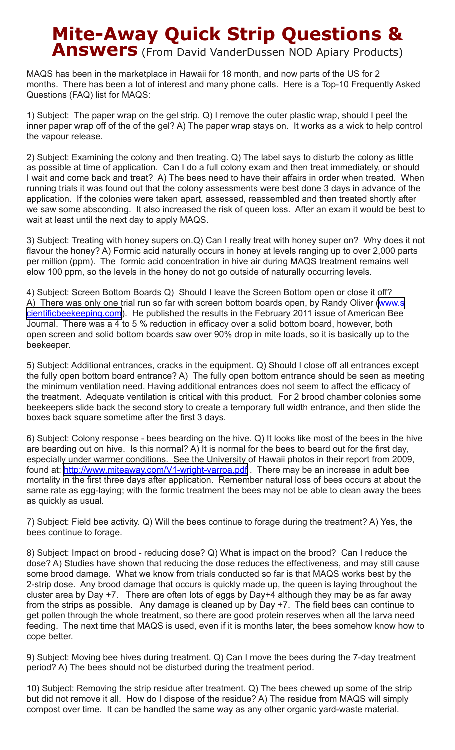# **Mite-Away Quick Strip Questions & Answers** (From David VanderDussen NOD Apiary Products)

MAQS has been in the marketplace in Hawaii for 18 month, and now parts of the US for 2 months. There has been a lot of interest and many phone calls. Here is a Top-10 Frequently Asked Questions (FAQ) list for MAQS:

1) Subject: The paper wrap on the gel strip. Q) I remove the outer plastic wrap, should I peel the inner paper wrap off of the of the gel? A) The paper wrap stays on. It works as a wick to help control the vapour release.

2) Subject: Examining the colony and then treating. Q) The label says to disturb the colony as little as possible at time of application. Can I do a full colony exam and then treat immediately, or should I wait and come back and treat? A) The bees need to have their affairs in order when treated. When running trials it was found out that the colony assessments were best done 3 days in advance of the application. If the colonies were taken apart, assessed, reassembled and then treated shortly after we saw some absconding. It also increased the risk of queen loss. After an exam it would be best to wait at least until the next day to apply MAQS.

3) Subject: Treating with honey supers on.Q) Can I really treat with honey super on? Why does it not flavour the honey? A) Formic acid naturally occurs in honey at levels ranging up to over 2,000 parts per million (ppm). The formic acid concentration in hive air during MAQS treatment remains well elow 100 ppm, so the levels in the honey do not go outside of naturally occurring levels.

4) Subject: Screen Bottom Boards Q) Should I leave the Screen Bottom open or close it off? A) There was only one trial run so far with screen bottom boards open, by Randy Oliver [\(www.s](http://americanbeejournal.us1.list-manage.com/track/click?u=5fd2b1aa990e63193af2a573d&id=4bc4b13ffc&e=15fb405077) [cientificbeekeeping.com](http://americanbeejournal.us1.list-manage.com/track/click?u=5fd2b1aa990e63193af2a573d&id=4bc4b13ffc&e=15fb405077)). He published the results in the February 2011 issue of American Bee Journal. There was a 4 to 5 % reduction in efficacy over a solid bottom board, however, both open screen and solid bottom boards saw over 90% drop in mite loads, so it is basically up to the beekeeper.

5) Subject: Additional entrances, cracks in the equipment. Q) Should I close off all entrances except the fully open bottom board entrance? A) The fully open bottom entrance should be seen as meeting the minimum ventilation need. Having additional entrances does not seem to affect the efficacy of the treatment. Adequate ventilation is critical with this product. For 2 brood chamber colonies some beekeepers slide back the second story to create a temporary full width entrance, and then slide the boxes back square sometime after the first 3 days.

6) Subject: Colony response - bees bearding on the hive. Q) It looks like most of the bees in the hive are bearding out on hive. Is this normal? A) It is normal for the bees to beard out for the first day, especially under warmer conditions. See the University of Hawaii photos in their report from 2009, found at: http://www.miteaway.com/V1-wright-varroa.pdf. There may be an increase in adult bee mortality in the first three days after application. Remember natural loss of bees occurs at about the same rate as egg-laying; with the formic treatment the bees may not be able to clean away the bees as quickly as usual.

7) Subject: Field bee activity. Q) Will the bees continue to forage during the treatment? A) Yes, the bees continue to forage.

8) Subject: Impact on brood - reducing dose? Q) What is impact on the brood? Can I reduce the dose? A) Studies have shown that reducing the dose reduces the effectiveness, and may still cause some brood damage. What we know from trials conducted so far is that MAQS works best by the 2-strip dose. Any brood damage that occurs is quickly made up, the queen is laying throughout the cluster area by Day +7. There are often lots of eggs by Day+4 although they may be as far away from the strips as possible. Any damage is cleaned up by Day +7. The field bees can continue to get pollen through the whole treatment, so there are good protein reserves when all the larva need feeding. The next time that MAQS is used, even if it is months later, the bees somehow know how to cope better.

9) Subject: Moving bee hives during treatment. Q) Can I move the bees during the 7-day treatment period? A) The bees should not be disturbed during the treatment period.

10) Subject: Removing the strip residue after treatment. Q) The bees chewed up some of the strip but did not remove it all. How do I dispose of the residue? A) The residue from MAQS will simply compost over time. It can be handled the same way as any other organic yard-waste material.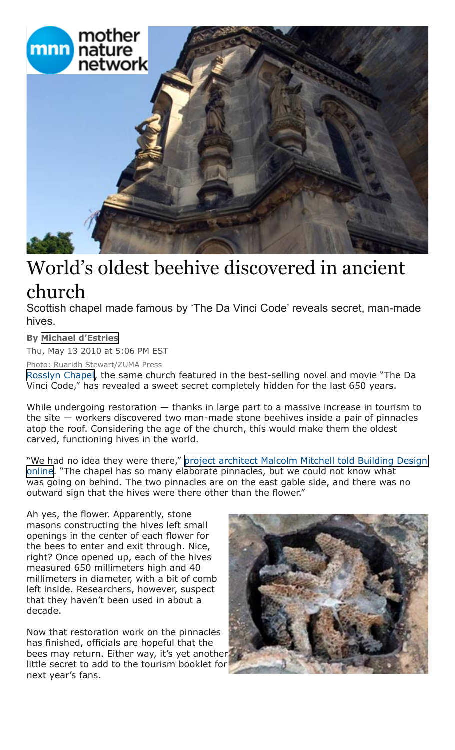

## World's oldest beehive discovered in ancient church

Scottish chapel made famous by 'The Da Vinci Code' reveals secret, man-made hives.

### **By [Michael d'Estries](http://www.mnn.com/users/mdestries)**

Thu, May 13 2010 at 5:06 PM EST

Photo: Ruaridh Stewart/ZUMA Press

[Rosslyn Chapel](http://www.rosslynchapel.org.uk/), the same church featured in the best-selling novel and movie "The Da Vinci Code," has revealed a sweet secret completely hidden for the last 650 years.

While undergoing restoration – thanks in large part to a massive increase in tourism to the site — workers discovered two man-made stone beehives inside a pair of pinnacles atop the roof. Considering the age of the church, this would make them the oldest carved, functioning hives in the world.

"We had no idea they were there," [project architect Malcolm Mitchell told Building Design](http://www.bdonline.co.uk/news/page-and-park-discovers-15th-century-beehives/3161452.article)  [online](http://www.bdonline.co.uk/news/page-and-park-discovers-15th-century-beehives/3161452.article). "The chapel has so many elaborate pinnacles, but we could not know what was going on behind. The two pinnacles are on the east gable side, and there was no outward sign that the hives were there other than the flower."

Ah yes, the flower. Apparently, stone masons constructing the hives left small openings in the center of each flower for the bees to enter and exit through. Nice, right? Once opened up, each of the hives measured 650 millimeters high and 40 millimeters in diameter, with a bit of comb left inside. Researchers, however, suspect that they haven't been used in about a decade.

Now that restoration work on the pinnacles has finished, officials are hopeful that the bees may return. Either way, it's yet another little secret to add to the tourism booklet for next year's fans.